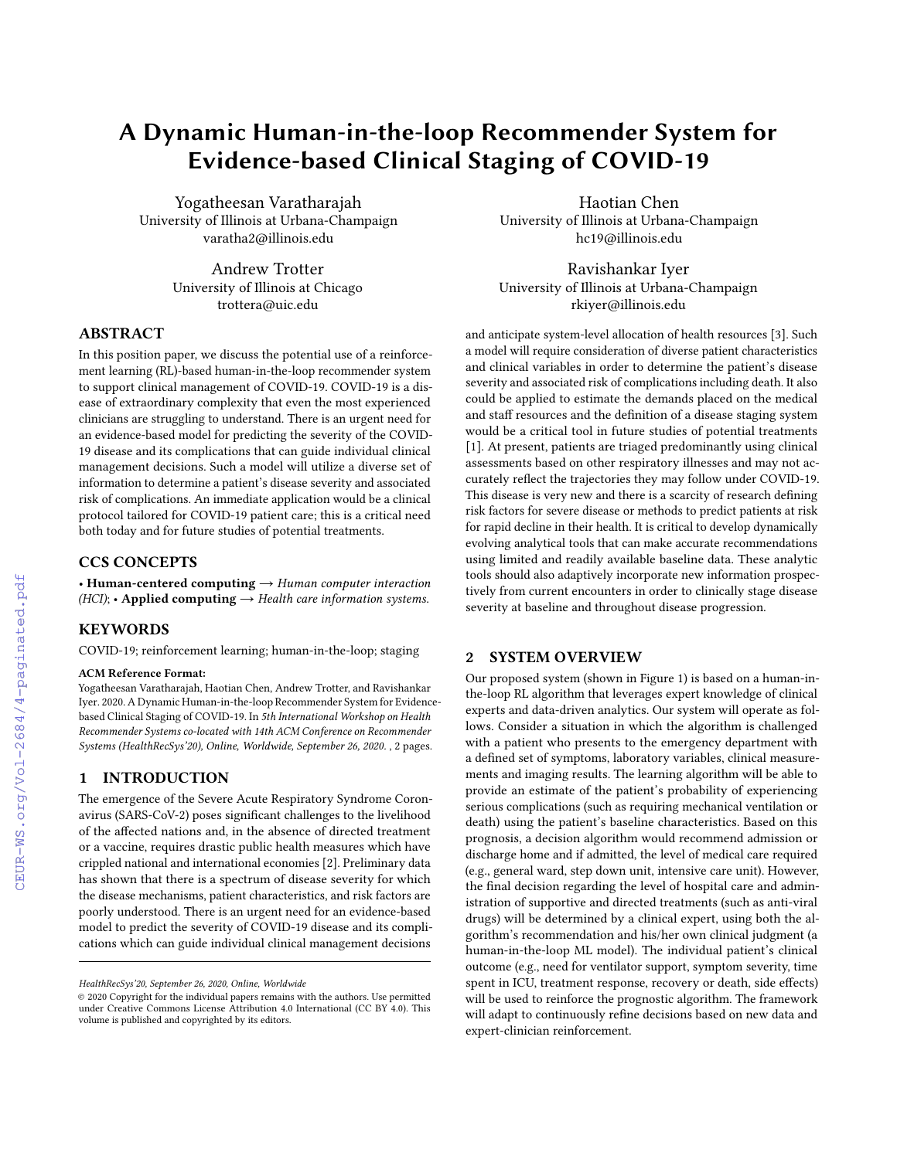# A Dynamic Human-in-the-loop Recommender System for Evidence-based Clinical Staging of COVID-19

Yogatheesan Varatharajah University of Illinois at Urbana-Champaign varatha2@illinois.edu

> Andrew Trotter University of Illinois at Chicago trottera@uic.edu

# ABSTRACT

In this position paper, we discuss the potential use of a reinforcement learning (RL)-based human-in-the-loop recommender system to support clinical management of COVID-19. COVID-19 is a disease of extraordinary complexity that even the most experienced clinicians are struggling to understand. There is an urgent need for an evidence-based model for predicting the severity of the COVID-19 disease and its complications that can guide individual clinical management decisions. Such a model will utilize a diverse set of information to determine a patient's disease severity and associated risk of complications. An immediate application would be a clinical protocol tailored for COVID-19 patient care; this is a critical need both today and for future studies of potential treatments.

# CCS CONCEPTS

• Human-centered computing  $\rightarrow$  Human computer interaction  $(HCI)$ ; • Applied computing  $\rightarrow$  Health care information systems.

# **KEYWORDS**

COVID-19; reinforcement learning; human-in-the-loop; staging

#### ACM Reference Format:

Yogatheesan Varatharajah, Haotian Chen, Andrew Trotter, and Ravishankar Iyer. 2020. A Dynamic Human-in-the-loop Recommender System for Evidencebased Clinical Staging of COVID-19. In 5th International Workshop on Health Recommender Systems co-located with 14th ACM Conference on Recommender Systems (HealthRecSys'20), Online, Worldwide, September 26, 2020. , [2](#page--1-0) pages.

## 1 INTRODUCTION

The emergence of the Severe Acute Respiratory Syndrome Coronavirus (SARS-CoV-2) poses significant challenges to the livelihood of the affected nations and, in the absence of directed treatment or a vaccine, requires drastic public health measures which have crippled national and international economies [\[2\]](#page--1-1). Preliminary data has shown that there is a spectrum of disease severity for which the disease mechanisms, patient characteristics, and risk factors are poorly understood. There is an urgent need for an evidence-based model to predict the severity of COVID-19 disease and its complications which can guide individual clinical management decisions

Haotian Chen University of Illinois at Urbana-Champaign hc19@illinois.edu

Ravishankar Iyer University of Illinois at Urbana-Champaign rkiyer@illinois.edu

and anticipate system-level allocation of health resources [\[3\]](#page--1-2). Such a model will require consideration of diverse patient characteristics and clinical variables in order to determine the patient's disease severity and associated risk of complications including death. It also could be applied to estimate the demands placed on the medical and staff resources and the definition of a disease staging system would be a critical tool in future studies of potential treatments [\[1\]](#page--1-3). At present, patients are triaged predominantly using clinical assessments based on other respiratory illnesses and may not accurately reflect the trajectories they may follow under COVID-19. This disease is very new and there is a scarcity of research defining risk factors for severe disease or methods to predict patients at risk for rapid decline in their health. It is critical to develop dynamically evolving analytical tools that can make accurate recommendations using limited and readily available baseline data. These analytic tools should also adaptively incorporate new information prospectively from current encounters in order to clinically stage disease severity at baseline and throughout disease progression.

## 2 SYSTEM OVERVIEW

Our proposed system (shown in Figure [1\)](#page--1-4) is based on a human-inthe-loop RL algorithm that leverages expert knowledge of clinical experts and data-driven analytics. Our system will operate as follows. Consider a situation in which the algorithm is challenged with a patient who presents to the emergency department with a defined set of symptoms, laboratory variables, clinical measurements and imaging results. The learning algorithm will be able to provide an estimate of the patient's probability of experiencing serious complications (such as requiring mechanical ventilation or death) using the patient's baseline characteristics. Based on this prognosis, a decision algorithm would recommend admission or discharge home and if admitted, the level of medical care required (e.g., general ward, step down unit, intensive care unit). However, the final decision regarding the level of hospital care and administration of supportive and directed treatments (such as anti-viral drugs) will be determined by a clinical expert, using both the algorithm's recommendation and his/her own clinical judgment (a human-in-the-loop ML model). The individual patient's clinical outcome (e.g., need for ventilator support, symptom severity, time spent in ICU, treatment response, recovery or death, side effects) will be used to reinforce the prognostic algorithm. The framework will adapt to continuously refine decisions based on new data and expert-clinician reinforcement.

HealthRecSys'20, September 26, 2020, Online, Worldwide

<sup>©</sup> 2020 Copyright for the individual papers remains with the authors. Use permitted under Creative Commons License Attribution 4.0 International (CC BY 4.0). This volume is published and copyrighted by its editors.